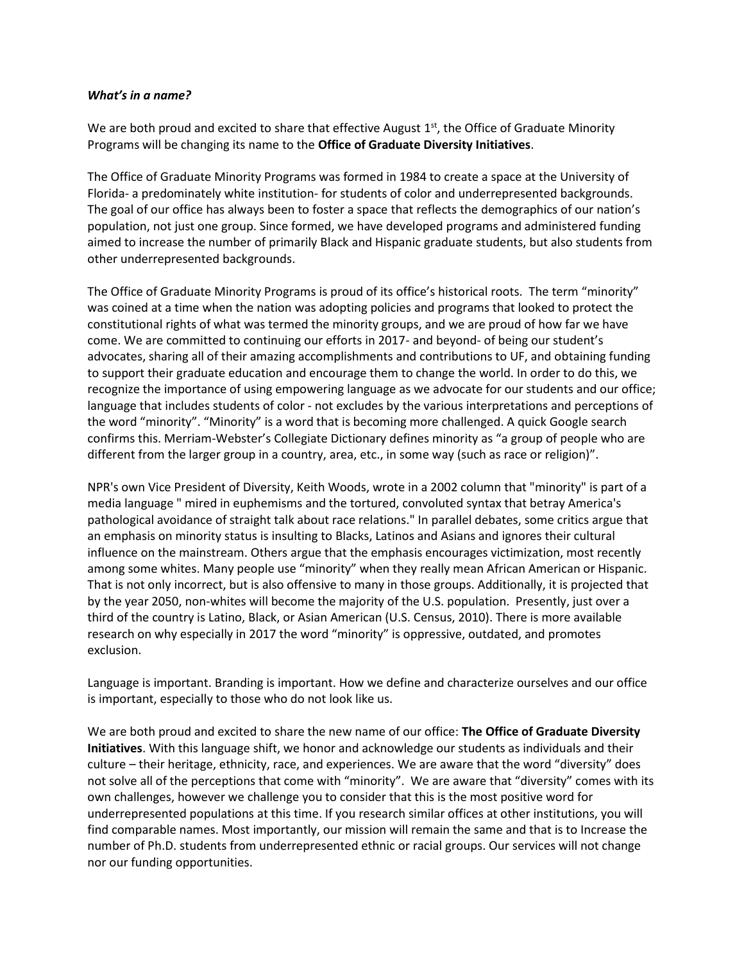## *What's in a name?*

We are both proud and excited to share that effective August  $1<sup>st</sup>$ , the Office of Graduate Minority Programs will be changing its name to the **Office of Graduate Diversity Initiatives**.

The Office of Graduate Minority Programs was formed in 1984 to create a space at the University of Florida- a predominately white institution- for students of color and underrepresented backgrounds. The goal of our office has always been to foster a space that reflects the demographics of our nation's population, not just one group. Since formed, we have developed programs and administered funding aimed to increase the number of primarily Black and Hispanic graduate students, but also students from other underrepresented backgrounds.

The Office of Graduate Minority Programs is proud of its office's historical roots. The term "minority" was coined at a time when the nation was adopting policies and programs that looked to protect the constitutional rights of what was termed the minority groups, and we are proud of how far we have come. We are committed to continuing our efforts in 2017- and beyond- of being our student's advocates, sharing all of their amazing accomplishments and contributions to UF, and obtaining funding to support their graduate education and encourage them to change the world. In order to do this, we recognize the importance of using empowering language as we advocate for our students and our office; language that includes students of color - not excludes by the various interpretations and perceptions of the word "minority". "Minority" is a word that is becoming more challenged. A quick Google search confirms this. Merriam-Webster's Collegiate Dictionary defines minority as "a group of people who are different from the larger group in a country, area, etc., in some way (such as race or religion)".

NPR's own Vice President of Diversity, Keith Woods[, wrote in a 2002 column t](http://www.poynter.org/uncategorized/2094/the-language-of-race/)hat "minority" is part of a media language " mired in euphemisms and the tortured, convoluted syntax that betray America's pathological avoidance of straight talk about race relations." In parallel debates, some critics argue that an emphasis on minority status is insulting to Blacks, Latinos and Asians and ignores their cultural influence on the mainstream. Others argue that the emphasis encourages victimization, most recently among some whites. Many people use "minority" when they really mean African American or Hispanic. That is not only incorrect, but is also offensive to many in those groups. Additionally, it is projected that by the year 2050, non-whites will become the majority of the U.S. population. Presently, just over a third of the country is Latino, Black, or Asian American (U.S. Census, 2010). There is more available research on why especially in 2017 the word "minority" is oppressive, outdated, and promotes exclusion.

Language is important. Branding is important. How we define and characterize ourselves and our office is important, especially to those who do not look like us.

We are both proud and excited to share the new name of our office: **The Office of Graduate Diversity Initiatives**. With this language shift, we honor and acknowledge our students as individuals and their culture – their heritage, ethnicity, race, and experiences. We are aware that the word "diversity" does not solve all of the perceptions that come with "minority". We are aware that "diversity" comes with its own challenges, however we challenge you to consider that this is the most positive word for underrepresented populations at this time. If you research similar offices at other institutions, you will find comparable names. Most importantly, our mission will remain the same and that is to Increase the number of Ph.D. students from underrepresented ethnic or racial groups. Our services will not change nor our funding opportunities.